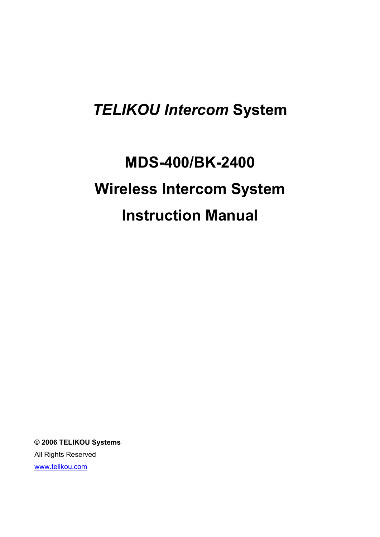# *TELIKOU Intercom* **System**

# **MDS-400/BK-2400 Wireless Intercom System Instruction Manual**

**© 2006 TELIKOU Systems** All Rights Reserved www.telikou.com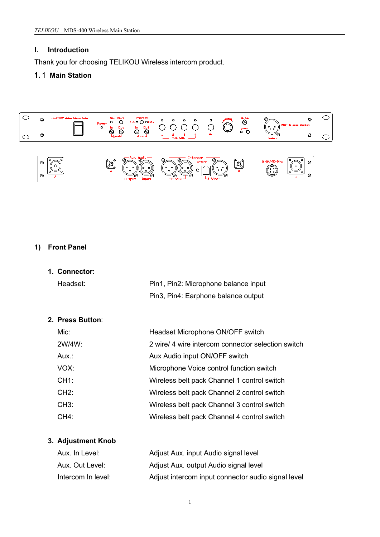#### **I. Introduction**

Thank you for choosing TELIKOU Wireless intercom product.

# 1.1 **Main Station**





#### **1) Front Panel**

**1. Connector:** Headset: Pin1, Pin2: Microphone balance input Pin3, Pin4: Earphone balance output

#### **2. Press Button**:

| $Mic$ : | Headset Microphone ON/OFF switch                   |
|---------|----------------------------------------------------|
| 2W/4W:  | 2 wire/ 4 wire intercom connector selection switch |
| Aux.:   | Aux Audio input ON/OFF switch                      |
| VOX:    | Microphone Voice control function switch           |
| CH1:    | Wireless belt pack Channel 1 control switch        |
| CH2:    | Wireless belt pack Channel 2 control switch        |
| CH3:    | Wireless belt pack Channel 3 control switch        |
| CH4:    | Wireless belt pack Channel 4 control switch        |

# **3. Adjustment Knob**

| Aux. In Level:     | Adjust Aux. input Audio signal level               |
|--------------------|----------------------------------------------------|
| Aux. Out Level:    | Adjust Aux. output Audio signal level              |
| Intercom In level: | Adjust intercom input connector audio signal level |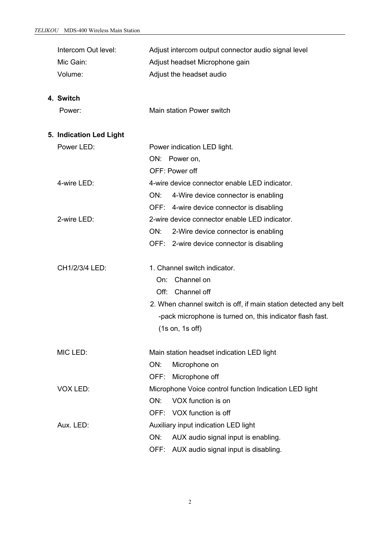| Intercom Out level:     |      | Adjust intercom output connector audio signal level              |
|-------------------------|------|------------------------------------------------------------------|
| Mic Gain:               |      | Adjust headset Microphone gain                                   |
| Volume:                 |      | Adjust the headset audio                                         |
|                         |      |                                                                  |
| 4. Switch               |      |                                                                  |
| Power:                  |      | Main station Power switch                                        |
|                         |      |                                                                  |
| 5. Indication Led Light |      |                                                                  |
| Power LED:              |      | Power indication LED light.                                      |
|                         |      | ON: Power on,                                                    |
|                         |      | OFF: Power off                                                   |
| 4-wire LED:             |      | 4-wire device connector enable LED indicator.                    |
|                         | ON:  | 4-Wire device connector is enabling                              |
|                         |      | OFF: 4-wire device connector is disabling                        |
| 2-wire LED:             |      | 2-wire device connector enable LED indicator.                    |
|                         | ON:  | 2-Wire device connector is enabling                              |
|                         |      | OFF: 2-wire device connector is disabling                        |
|                         |      |                                                                  |
| CH1/2/3/4 LED:          |      | 1. Channel switch indicator.                                     |
|                         | On:  | Channel on                                                       |
|                         |      | Off: Channel off                                                 |
|                         |      | 2. When channel switch is off, if main station detected any belt |
|                         |      | -pack microphone is turned on, this indicator flash fast.        |
|                         |      | $(1s \text{ on}, 1s \text{ off})$                                |
| MIC LED:                |      | Main station headset indication LED light                        |
|                         | ON:  | Microphone on                                                    |
|                         | OFF: | Microphone off                                                   |
| VOX LED:                |      | Microphone Voice control function Indication LED light           |
|                         | ON:  | VOX function is on                                               |
|                         |      | OFF: VOX function is off                                         |
| Aux. LED:               |      | Auxiliary input indication LED light                             |
|                         | ON:  | AUX audio signal input is enabling.                              |
|                         |      | OFF: AUX audio signal input is disabling.                        |
|                         |      |                                                                  |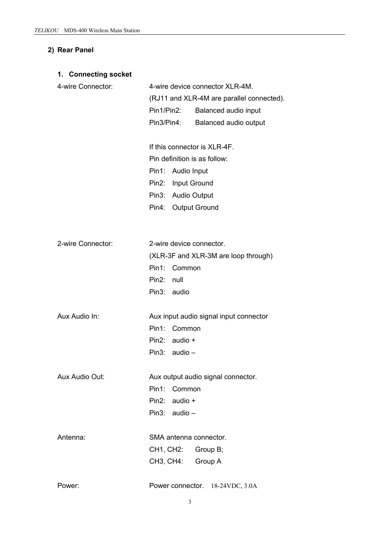#### **2) Rear Panel**

#### **1. Connecting socket**

| 4-wire Connector: | 4-wire device connector XLR-4M. |                                           |  |
|-------------------|---------------------------------|-------------------------------------------|--|
|                   |                                 | (RJ11 and XLR-4M are parallel connected). |  |
|                   | Pin1/Pin2:                      | Balanced audio input                      |  |
|                   | Pin3/Pin4:                      | Balanced audio output                     |  |

If this connector is XLR-4F. Pin definition is as follow: Pin1: Audio Input Pin2: Input Ground Pin3: Audio Output Pin4: Output Ground

| 2-wire Connector: | 2-wire device connector.             |  |  |
|-------------------|--------------------------------------|--|--|
|                   | (XLR-3F and XLR-3M are loop through) |  |  |
|                   | Pin1: Common                         |  |  |
|                   | Pin2: null                           |  |  |
|                   | Pin3: audio                          |  |  |
|                   |                                      |  |  |

| Aux Audio In: | Aux input audio signal input connector |  |  |
|---------------|----------------------------------------|--|--|
|               | Pin1: Common                           |  |  |
|               | Pin2: $audio +$                        |  |  |
|               | Pin3: $audio -$                        |  |  |
|               |                                        |  |  |

Aux Audio Out: Aux output audio signal connector. Pin1: Common Pin2: audio + Pin3: audio –

| Antenna: | SMA antenna connector. |  |
|----------|------------------------|--|
|          | CH1, CH2: Group B;     |  |
|          | CH3, CH4: Group A      |  |

| Power connector. 18-24VDC, 3.0A<br>Power: |  |
|-------------------------------------------|--|
|-------------------------------------------|--|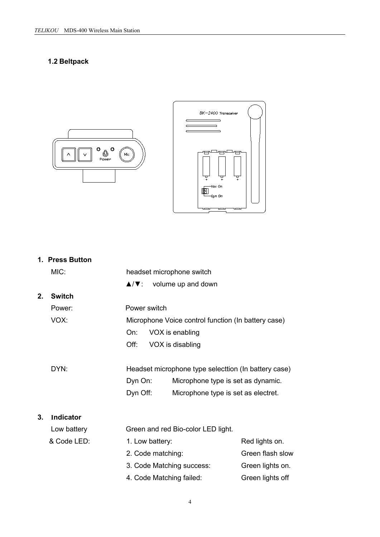# **1.2 Beltpack**





|    | 1. Press Button |                                                             |                  |
|----|-----------------|-------------------------------------------------------------|------------------|
|    | MIC:            | headset microphone switch                                   |                  |
|    |                 | $\blacktriangle/\blacktriangledown$ :<br>volume up and down |                  |
| 2. | <b>Switch</b>   |                                                             |                  |
|    | Power:          | Power switch                                                |                  |
|    | VOX:            | Microphone Voice control function (In battery case)         |                  |
|    |                 | VOX is enabling<br>On:                                      |                  |
|    |                 | Off:<br>VOX is disabling                                    |                  |
|    |                 |                                                             |                  |
|    | DYN:            | Headset microphone type selecttion (In battery case)        |                  |
|    |                 | Dyn On:<br>Microphone type is set as dynamic.               |                  |
|    |                 | Dyn Off:<br>Microphone type is set as electret.             |                  |
|    |                 |                                                             |                  |
| 3. | Indicator       |                                                             |                  |
|    | Low battery     | Green and red Bio-color LED light.                          |                  |
|    | & Code LED:     | 1. Low battery:                                             | Red lights on.   |
|    |                 | 2. Code matching:                                           | Green flash slow |
|    |                 | 3. Code Matching success:                                   | Green lights on. |
|    |                 | 4. Code Matching failed:                                    | Green lights off |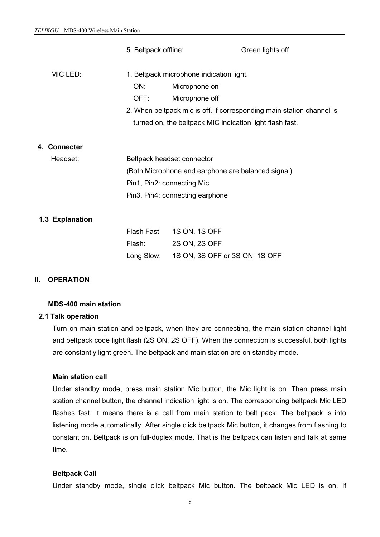|                                        | 5. Beltpack offline:                               |                                                                       | Green lights off                                         |  |  |
|----------------------------------------|----------------------------------------------------|-----------------------------------------------------------------------|----------------------------------------------------------|--|--|
| MIC LED:                               | 1. Beltpack microphone indication light.           |                                                                       |                                                          |  |  |
|                                        | ON:                                                | Microphone on                                                         |                                                          |  |  |
|                                        | OFF:                                               | Microphone off                                                        |                                                          |  |  |
|                                        |                                                    | 2. When beltpack mic is off, if corresponding main station channel is |                                                          |  |  |
|                                        |                                                    |                                                                       | turned on, the beltpack MIC indication light flash fast. |  |  |
|                                        |                                                    |                                                                       |                                                          |  |  |
| 4. Connecter                           |                                                    |                                                                       |                                                          |  |  |
| Headset:<br>Beltpack headset connector |                                                    |                                                                       |                                                          |  |  |
|                                        | (Both Microphone and earphone are balanced signal) |                                                                       |                                                          |  |  |
|                                        | Pin1, Pin2: connecting Mic                         |                                                                       |                                                          |  |  |
|                                        | Pin3, Pin4: connecting earphone                    |                                                                       |                                                          |  |  |
|                                        |                                                    |                                                                       |                                                          |  |  |
| 1.3 Explanation                        |                                                    |                                                                       |                                                          |  |  |
|                                        | Flash Fast:                                        | 1S ON, 1S OFF                                                         |                                                          |  |  |
|                                        | Flash:                                             | 2S ON, 2S OFF                                                         |                                                          |  |  |
|                                        | Long Slow:                                         | 1S ON, 3S OFF or 3S ON, 1S OFF                                        |                                                          |  |  |
|                                        |                                                    |                                                                       |                                                          |  |  |
|                                        |                                                    |                                                                       |                                                          |  |  |

#### **II. OPERATION**

#### **MDS-400 main station**

#### **2.1 Talk operation**

Turn on main station and beltpack, when they are connecting, the main station channel light and beltpack code light flash (2S ON, 2S OFF). When the connection is successful, both lights are constantly light green. The beltpack and main station are on standby mode.

#### **Main station call**

Under standby mode, press main station Mic button, the Mic light is on. Then press main station channel button, the channel indication light is on. The corresponding beltpack Mic LED flashes fast. It means there is a call from main station to belt pack. The beltpack is into listening mode automatically. After single click beltpack Mic button, it changes from flashing to constant on. Beltpack is on full-duplex mode. That is the beltpack can listen and talk at same time.

#### **Beltpack Call**

Under standby mode, single click beltpack Mic button. The beltpack Mic LED is on. If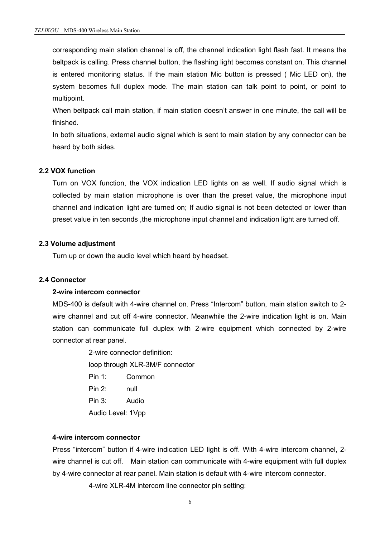corresponding main station channel is off, the channel indication light flash fast. It means the beltpack is calling. Press channel button, the flashing light becomes constant on. This channel is entered monitoring status. If the main station Mic button is pressed ( Mic LED on), the system becomes full duplex mode. The main station can talk point to point, or point to multipoint.

When beltpack call main station, if main station doesn't answer in one minute, the call will be finished.

In both situations, external audio signal which is sent to main station by any connector can be heard by both sides.

#### **2.2 VOX function**

Turn on VOX function, the VOX indication LED lights on as well. If audio signal which is collected by main station microphone is over than the preset value, the microphone input channel and indication light are turned on; If audio signal is not been detected or lower than preset value in ten seconds, the microphone input channel and indication light are turned off.

#### **2.3 Volume adjustment**

Turn up or down the audio level which heard by headset.

#### **2.4 Connector**

#### **2-wire intercom connector**

MDS-400 is default with 4-wire channel on. Press "Intercom" button, main station switch to 2 wire channel and cut off 4-wire connector. Meanwhile the 2-wire indication light is on. Main station can communicate full duplex with 2-wire equipment which connected by 2-wire connector at rear panel.

> 2-wire connector definition: loop through XLR-3M/F connector Pin 1: Common Pin 2: null Pin 3: Audio

Audio Level: 1Vpp

#### **4-wire intercom connector**

Press "intercom" button if 4-wire indication LED light is off. With 4-wire intercom channel, 2 wire channel is cut off. Main station can communicate with 4-wire equipment with full duplex by 4-wire connector at rear panel. Main station is default with 4-wire intercom connector.

4-wire XLR-4M intercom line connector pin setting: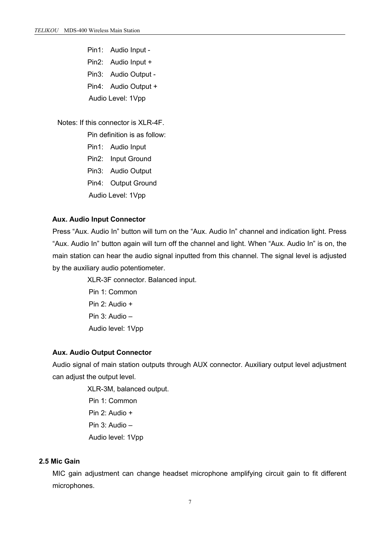Pin1: Audio Input -

Pin2: Audio Input +

Pin3: Audio Output -

Pin4: Audio Output +

Audio Level: 1Vpp

#### Notes: If this connector is XLR-4F.

Pin definition is as follow:

- Pin1: Audio Input
- Pin2: Input Ground
- Pin3: Audio Output
- Pin4: Output Ground
- Audio Level: 1Vpp

#### **Aux. Audio Input Connector**

Press "Aux. Audio In" button will turn on the "Aux. Audio In" channel and indication light. Press "Aux. Audio In" button again will turn off the channel and light. When "Aux. Audio In" is on, the main station can hear the audio signal inputted from this channel. The signal level is adjusted by the auxiliary audio potentiometer.

> XLR-3F connector. Balanced input. Pin 1: Common Pin 2: Audio + Pin 3: Audio – Audio level: 1Vpp

#### **Aux. Audio Output Connector**

Audio signal of main station outputs through AUX connector. Auxiliary output level adjustment can adjust the output level.

> XLR-3M, balanced output. Pin 1: Common Pin 2: Audio + Pin 3: Audio – Audio level: 1Vpp

#### **2.5 Mic Gain**

MIC gain adjustment can change headset microphone amplifying circuit gain to fit different microphones.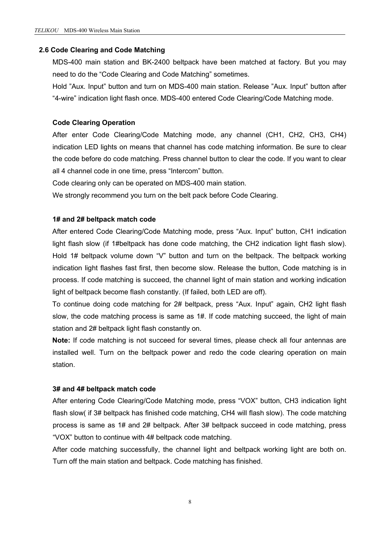#### **2.6 Code Clearing and Code Matching**

MDS-400 main station and BK-2400 beltpack have been matched at factory. But you may need to do the "Code Clearing and Code Matching" sometimes.

Hold "Aux. Input" button and turn on MDS-400 main station. Release "Aux. Input" button after "4-wire" indication light flash once. MDS-400 entered Code Clearing/Code Matching mode.

#### **Code Clearing Operation**

After enter Code Clearing/Code Matching mode, any channel (CH1, CH2, CH3, CH4) indication LED lights on means that channel has code matching information. Be sure to clear the code before do code matching. Press channel button to clear the code. If you want to clear all 4 channel code in one time, press "Intercom" button.

Code clearing only can be operated on MDS-400 main station.

We strongly recommend you turn on the belt pack before Code Clearing.

#### **1# and 2# beltpack match code**

After entered Code Clearing/Code Matching mode, press "Aux. Input" button, CH1 indication light flash slow (if 1#beltpack has done code matching, the CH2 indication light flash slow). Hold 1# beltpack volume down "V" button and turn on the beltpack. The beltpack working indication light flashes fast first, then become slow. Release the button, Code matching is in process. If code matching is succeed, the channel light of main station and working indication light of beltpack become flash constantly. (If failed, both LED are off).

To continue doing code matching for 2# beltpack, press "Aux. Input" again, CH2 light flash slow, the code matching process is same as 1#. If code matching succeed, the light of main station and 2# beltpack light flash constantly on.

**Note:** If code matching is not succeed for several times, please check all four antennas are installed well. Turn on the beltpack power and redo the code clearing operation on main station.

#### **3# and 4# beltpack match code**

After entering Code Clearing/Code Matching mode, press "VOX" button, CH3 indication light flash slow( if 3# beltpack has finished code matching, CH4 will flash slow). The code matching process is same as 1# and 2# beltpack. After 3# beltpack succeed in code matching, press "VOX" button to continue with 4# beltpack code matching.

After code matching successfully, the channel light and beltpack working light are both on. Turn off the main station and beltpack. Code matching has finished.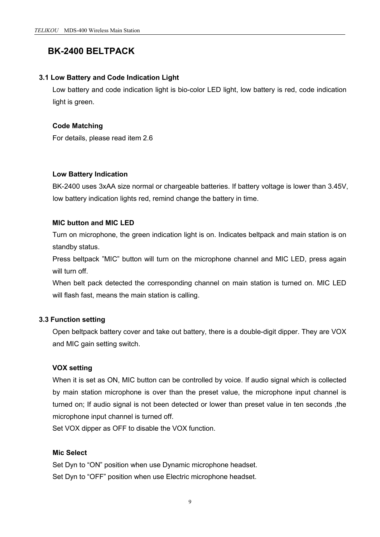# **BK-2400 BELTPACK**

#### **3.1 Low Battery and Code Indication Light**

Low battery and code indication light is bio-color LED light, low battery is red, code indication light is green.

# **Code Matching**

For details, please read item 2.6

# **Low Battery Indication**

BK-2400 uses 3xAA size normal or chargeable batteries. If battery voltage is lower than 3.45V, low battery indication lights red, remind change the battery in time.

# **MIC button and MIC LED**

Turn on microphone, the green indication light is on. Indicates beltpack and main station is on standby status.

Press beltpack "MIC" button will turn on the microphone channel and MIC LED, press again will turn off

When belt pack detected the corresponding channel on main station is turned on. MIC LED will flash fast, means the main station is calling.

# **3.3 Function setting**

Open beltpack battery cover and take out battery, there is a double-digit dipper. They are VOX and MIC gain setting switch.

# **VOX setting**

When it is set as ON, MIC button can be controlled by voice. If audio signal which is collected by main station microphone is over than the preset value, the microphone input channel is turned on; If audio signal is not been detected or lower than preset value in ten seconds ,the microphone input channel is turned off.

Set VOX dipper as OFF to disable the VOX function.

#### **Mic Select**

Set Dyn to "ON" position when use Dynamic microphone headset. Set Dyn to "OFF" position when use Electric microphone headset.